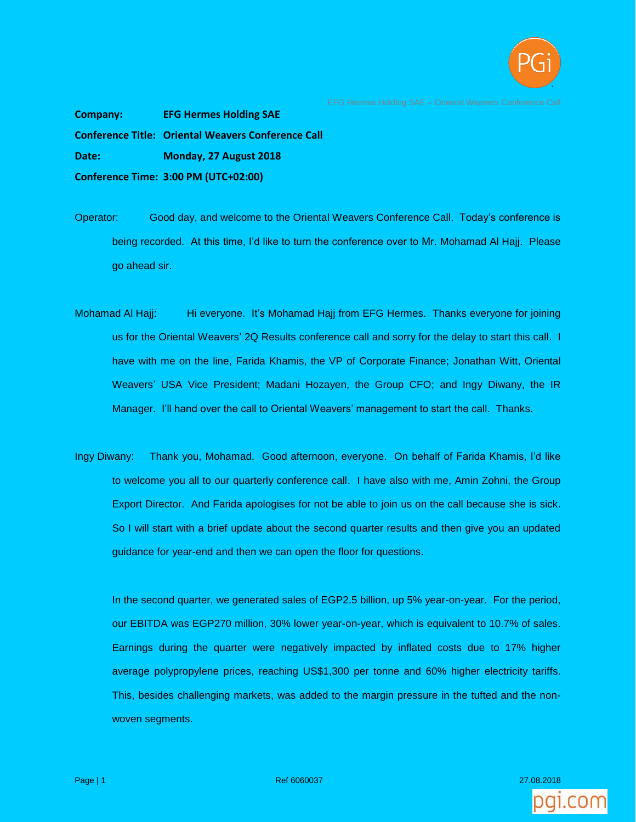

**Company: EFG Hermes Holding SAE Conference Title: Oriental Weavers Conference Call Date: Monday, 27 August 2018 Conference Time: 3:00 PM (UTC+02:00)**

- Operator: Good day, and welcome to the Oriental Weavers Conference Call. Today's conference is being recorded. At this time, I'd like to turn the conference over to Mr. Mohamad Al Hajj. Please go ahead sir.
- Mohamad Al Hajj: Hi everyone. It's Mohamad Hajj from EFG Hermes. Thanks everyone for joining us for the Oriental Weavers' 2Q Results conference call and sorry for the delay to start this call. I have with me on the line, Farida Khamis, the VP of Corporate Finance; Jonathan Witt, Oriental Weavers' USA Vice President; Madani Hozayen, the Group CFO; and Ingy Diwany, the IR Manager. I'll hand over the call to Oriental Weavers' management to start the call. Thanks.
- Ingy Diwany: Thank you, Mohamad. Good afternoon, everyone. On behalf of Farida Khamis, I'd like to welcome you all to our quarterly conference call. I have also with me, Amin Zohni, the Group Export Director. And Farida apologises for not be able to join us on the call because she is sick. So I will start with a brief update about the second quarter results and then give you an updated guidance for year-end and then we can open the floor for questions.

In the second quarter, we generated sales of EGP2.5 billion, up 5% year-on-year. For the period, our EBITDA was EGP270 million, 30% lower year-on-year, which is equivalent to 10.7% of sales. Earnings during the quarter were negatively impacted by inflated costs due to 17% higher average polypropylene prices, reaching US\$1,300 per tonne and 60% higher electricity tariffs. This, besides challenging markets, was added to the margin pressure in the tufted and the nonwoven segments.

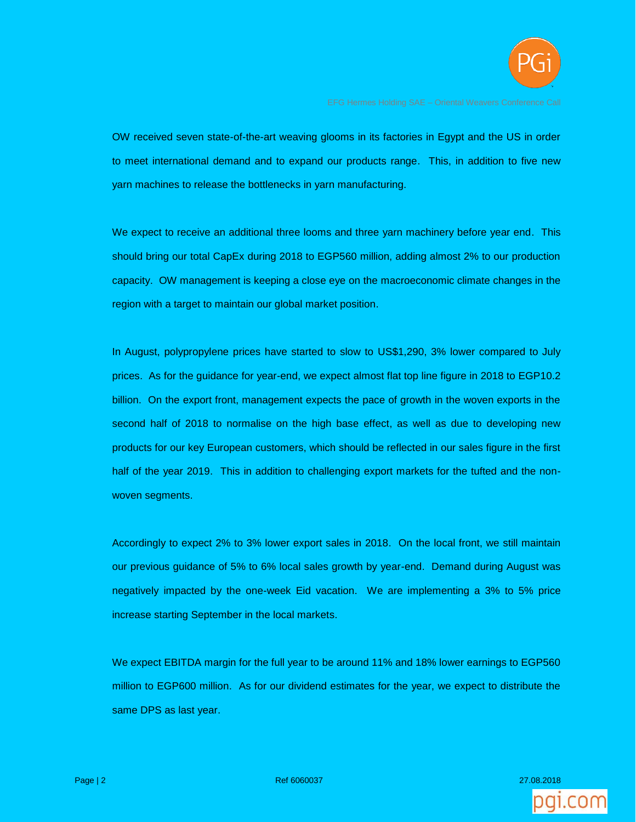

OW received seven state-of-the-art weaving glooms in its factories in Egypt and the US in order to meet international demand and to expand our products range. This, in addition to five new yarn machines to release the bottlenecks in yarn manufacturing.

We expect to receive an additional three looms and three yarn machinery before year end. This should bring our total CapEx during 2018 to EGP560 million, adding almost 2% to our production capacity. OW management is keeping a close eye on the macroeconomic climate changes in the region with a target to maintain our global market position.

In August, polypropylene prices have started to slow to US\$1,290, 3% lower compared to July prices. As for the guidance for year-end, we expect almost flat top line figure in 2018 to EGP10.2 billion. On the export front, management expects the pace of growth in the woven exports in the second half of 2018 to normalise on the high base effect, as well as due to developing new products for our key European customers, which should be reflected in our sales figure in the first half of the year 2019. This in addition to challenging export markets for the tufted and the nonwoven segments.

Accordingly to expect 2% to 3% lower export sales in 2018. On the local front, we still maintain our previous guidance of 5% to 6% local sales growth by year-end. Demand during August was negatively impacted by the one-week Eid vacation. We are implementing a 3% to 5% price increase starting September in the local markets.

We expect EBITDA margin for the full year to be around 11% and 18% lower earnings to EGP560 million to EGP600 million. As for our dividend estimates for the year, we expect to distribute the same DPS as last year.

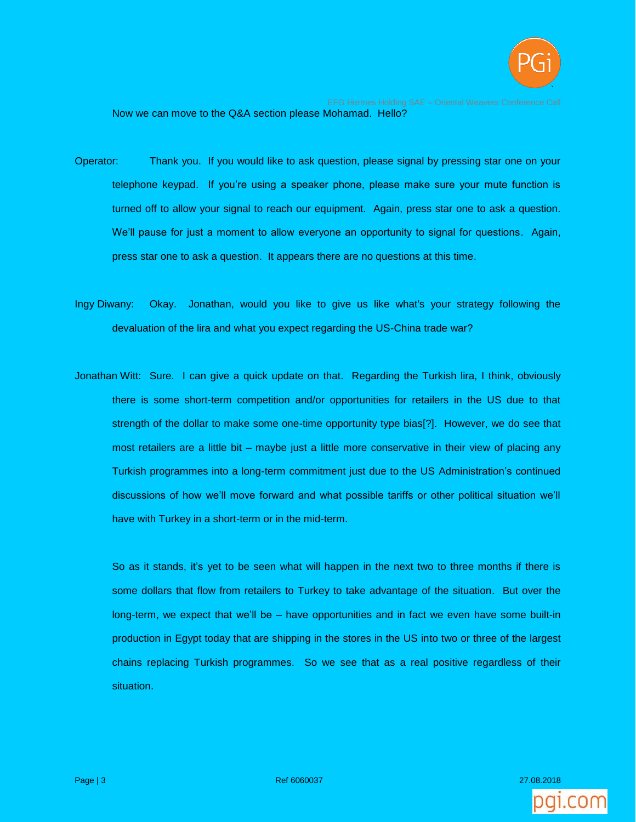

Now we can move to the Q&A section please Mohamad. Hello?

- Operator: Thank you. If you would like to ask question, please signal by pressing star one on your telephone keypad. If you're using a speaker phone, please make sure your mute function is turned off to allow your signal to reach our equipment. Again, press star one to ask a question. We'll pause for just a moment to allow everyone an opportunity to signal for questions. Again, press star one to ask a question. It appears there are no questions at this time.
- Ingy Diwany: Okay. Jonathan, would you like to give us like what's your strategy following the devaluation of the lira and what you expect regarding the US-China trade war?
- Jonathan Witt: Sure. I can give a quick update on that. Regarding the Turkish lira, I think, obviously there is some short-term competition and/or opportunities for retailers in the US due to that strength of the dollar to make some one-time opportunity type bias[?]. However, we do see that most retailers are a little bit – maybe just a little more conservative in their view of placing any Turkish programmes into a long-term commitment just due to the US Administration's continued discussions of how we'll move forward and what possible tariffs or other political situation we'll have with Turkey in a short-term or in the mid-term.

So as it stands, it's yet to be seen what will happen in the next two to three months if there is some dollars that flow from retailers to Turkey to take advantage of the situation. But over the long-term, we expect that we'll be – have opportunities and in fact we even have some built-in production in Egypt today that are shipping in the stores in the US into two or three of the largest chains replacing Turkish programmes. So we see that as a real positive regardless of their situation.

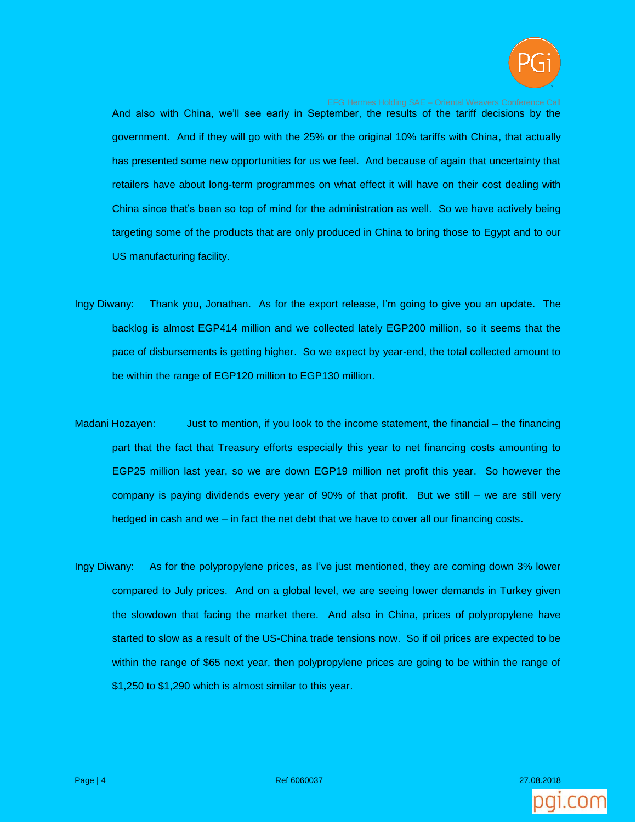

And also with China, we'll see early in September, the results of the tariff decisions by the government. And if they will go with the 25% or the original 10% tariffs with China, that actually has presented some new opportunities for us we feel. And because of again that uncertainty that retailers have about long-term programmes on what effect it will have on their cost dealing with China since that's been so top of mind for the administration as well. So we have actively being targeting some of the products that are only produced in China to bring those to Egypt and to our US manufacturing facility.

- Ingy Diwany: Thank you, Jonathan. As for the export release, I'm going to give you an update. The backlog is almost EGP414 million and we collected lately EGP200 million, so it seems that the pace of disbursements is getting higher. So we expect by year-end, the total collected amount to be within the range of EGP120 million to EGP130 million.
- Madani Hozayen: Just to mention, if you look to the income statement, the financial the financing part that the fact that Treasury efforts especially this year to net financing costs amounting to EGP25 million last year, so we are down EGP19 million net profit this year. So however the company is paying dividends every year of 90% of that profit. But we still – we are still very hedged in cash and we – in fact the net debt that we have to cover all our financing costs.
- Ingy Diwany: As for the polypropylene prices, as I've just mentioned, they are coming down 3% lower compared to July prices. And on a global level, we are seeing lower demands in Turkey given the slowdown that facing the market there. And also in China, prices of polypropylene have started to slow as a result of the US-China trade tensions now. So if oil prices are expected to be within the range of \$65 next year, then polypropylene prices are going to be within the range of \$1,250 to \$1,290 which is almost similar to this year.

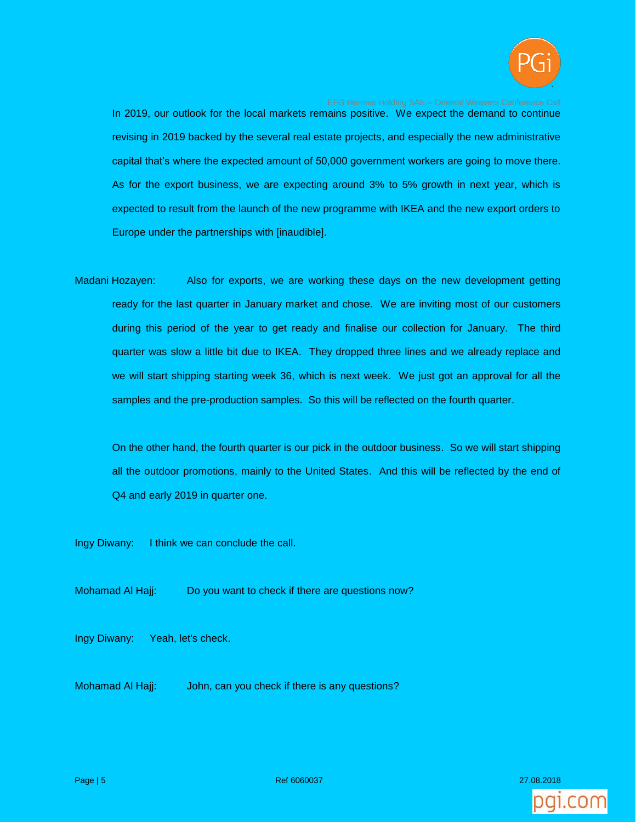

In 2019, our outlook for the local markets remains positive. We expect the demand to continue revising in 2019 backed by the several real estate projects, and especially the new administrative capital that's where the expected amount of 50,000 government workers are going to move there. As for the export business, we are expecting around 3% to 5% growth in next year, which is expected to result from the launch of the new programme with IKEA and the new export orders to Europe under the partnerships with [inaudible].

Madani Hozayen: Also for exports, we are working these days on the new development getting ready for the last quarter in January market and chose. We are inviting most of our customers during this period of the year to get ready and finalise our collection for January. The third quarter was slow a little bit due to IKEA. They dropped three lines and we already replace and we will start shipping starting week 36, which is next week. We just got an approval for all the samples and the pre-production samples. So this will be reflected on the fourth quarter.

On the other hand, the fourth quarter is our pick in the outdoor business. So we will start shipping all the outdoor promotions, mainly to the United States. And this will be reflected by the end of Q4 and early 2019 in quarter one.

Ingy Diwany: I think we can conclude the call.

Mohamad Al Hajj: Do you want to check if there are questions now?

Ingy Diwany: Yeah, let's check.

Mohamad Al Hajj: John, can you check if there is any questions?

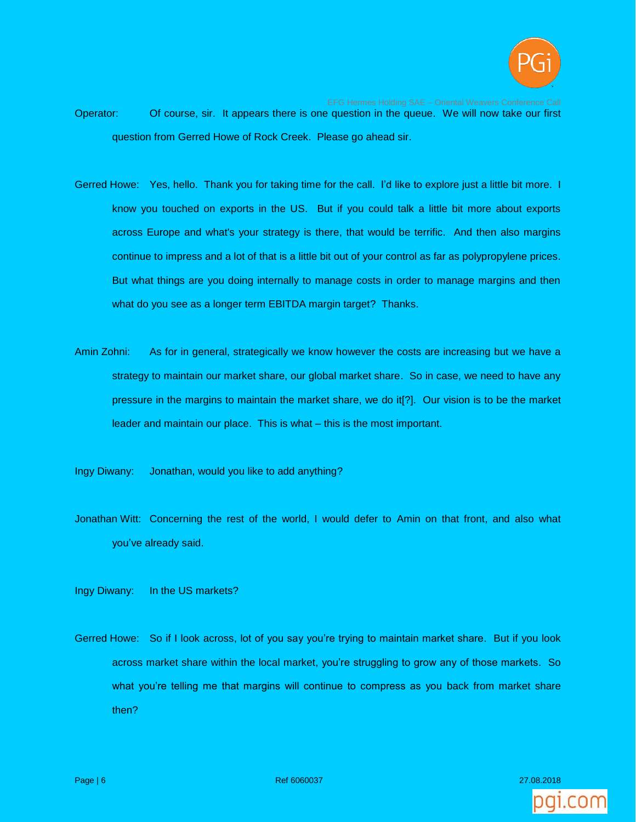

Operator: Of course, sir. It appears there is one question in the queue. We will now take our first question from Gerred Howe of Rock Creek. Please go ahead sir.

- Gerred Howe: Yes, hello. Thank you for taking time for the call. I'd like to explore just a little bit more. I know you touched on exports in the US. But if you could talk a little bit more about exports across Europe and what's your strategy is there, that would be terrific. And then also margins continue to impress and a lot of that is a little bit out of your control as far as polypropylene prices. But what things are you doing internally to manage costs in order to manage margins and then what do you see as a longer term EBITDA margin target? Thanks.
- Amin Zohni: As for in general, strategically we know however the costs are increasing but we have a strategy to maintain our market share, our global market share. So in case, we need to have any pressure in the margins to maintain the market share, we do it[?]. Our vision is to be the market leader and maintain our place. This is what – this is the most important.

Ingy Diwany: Jonathan, would you like to add anything?

Jonathan Witt: Concerning the rest of the world, I would defer to Amin on that front, and also what you've already said.

Ingy Diwany: In the US markets?

Gerred Howe: So if I look across, lot of you say you're trying to maintain market share. But if you look across market share within the local market, you're struggling to grow any of those markets. So what you're telling me that margins will continue to compress as you back from market share then?

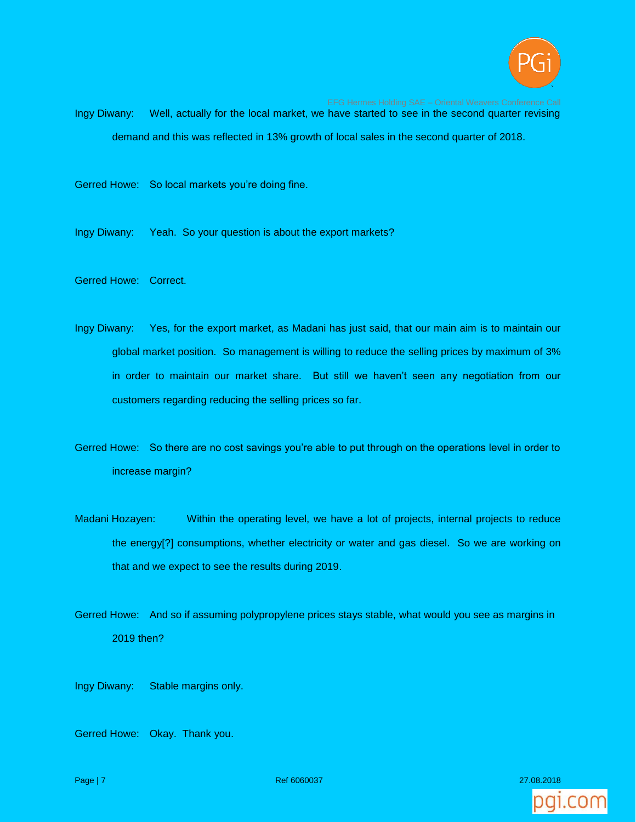

Ingy Diwany: Well, actually for the local market, we have started to see in the second quarter revising demand and this was reflected in 13% growth of local sales in the second quarter of 2018.

Gerred Howe: So local markets you're doing fine.

Ingy Diwany: Yeah. So your question is about the export markets?

Gerred Howe: Correct.

Ingy Diwany: Yes, for the export market, as Madani has just said, that our main aim is to maintain our global market position. So management is willing to reduce the selling prices by maximum of 3% in order to maintain our market share. But still we haven't seen any negotiation from our customers regarding reducing the selling prices so far.

Gerred Howe: So there are no cost savings you're able to put through on the operations level in order to increase margin?

Madani Hozayen: Within the operating level, we have a lot of projects, internal projects to reduce the energy[?] consumptions, whether electricity or water and gas diesel. So we are working on that and we expect to see the results during 2019.

Gerred Howe: And so if assuming polypropylene prices stays stable, what would you see as margins in 2019 then?

Ingy Diwany: Stable margins only.

Gerred Howe: Okay. Thank you.



Page | 7 Ref 6060037 27.08.2018